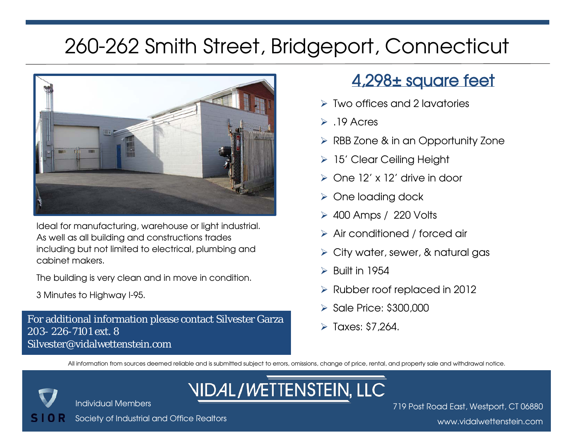

Ideal for manufacturing, warehouse or light industrial. As well as all building and constructions trades including but not limited to electrical, plumbing and cabinet makers.

The building is very clean and in move in condition.

3 Minutes to Highway I-95.

For additional information please contact Silvester Garza <br>800, 896, 7101 + + 0 203- 226-7101 ext. 8 Silvester@vidalwettenstein.com

#### 4,298± square feet

- $\triangleright$  Two offices and 2 lavatories
- $\triangleright$  .19 Acres
- **▶ RBB Zone & in an Opportunity Zone**
- 15' Clear Ceiling Height
- $\triangleright$  One 12' x 12' drive in door
- $\triangleright$  One loading dock
- 400 Amps / 220 Volts
- Air conditioned / forced air
- $\triangleright$  City water, sewer, & natural gas
- $\triangleright$  Built in 1954
- $\triangleright$  Rubber roof replaced in 2012
- $\triangleright$  Sale Price: \$300,000
- 

All information from sources deemed reliable and is submitted subject to errors, omissions, change of price, rental, and property sale and withdrawal notice.

Individual Members

#### **NIDAL/WETTENSTEIN, LLC**

Society of Industrial and Office Realtors

719 Post Road East, Westport, CT 06880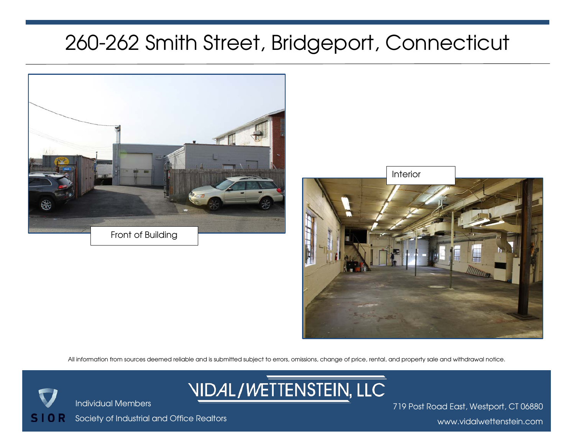



All information from sources deemed reliable and is submitted subject to errors, omissions, change of price, rental, and property sale and withdrawal notice.



719 Post Road East, Westport, CT 06880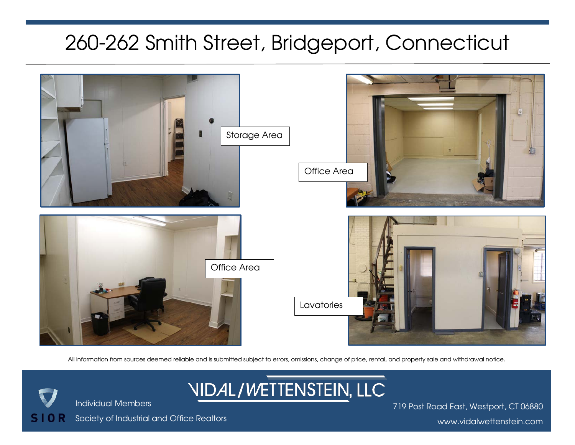

All information from sources deemed reliable and is submitted subject to errors, omissions, change of price, rental, and property sale and withdrawal notice.

**NIDAL/WETTENSTEIN, LLC** 

Society of Industrial and Office Realtors

Individual Members

S

719 Post Road East, Westport, CT 06880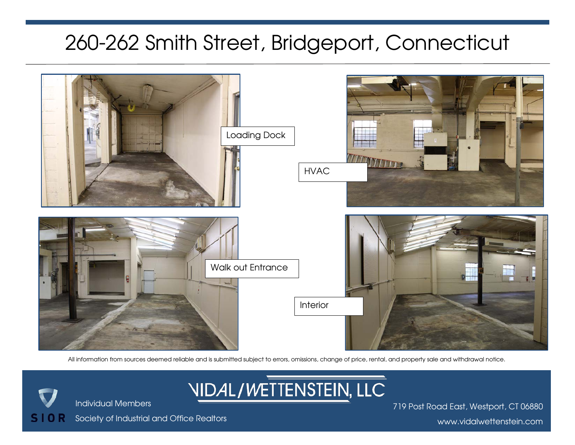

All information from sources deemed reliable and is submitted subject to errors, omissions, change of price, rental, and property sale and withdrawal notice.

**NIDAL/WETTENSTEIN, LLC** 

Society of Industrial and Office Realtors

Individual Members

S.

719 Post Road East, Westport, CT 06880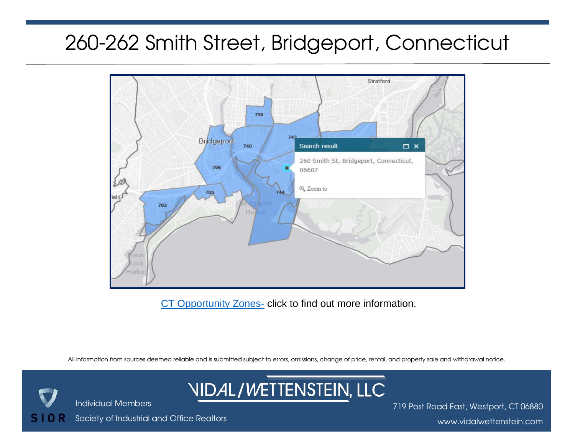

[CT Opportunity Zones-](https://www.cga.ct.gov/2018/rpt/pdf/2018-R-0196.pdf) click to find out more information.

All information from sources deemed reliable and is submitted subject to errors, omissions, change of price, rental, and property sale and withdrawal notice.



719 Post Road East, Westport, CT 06880